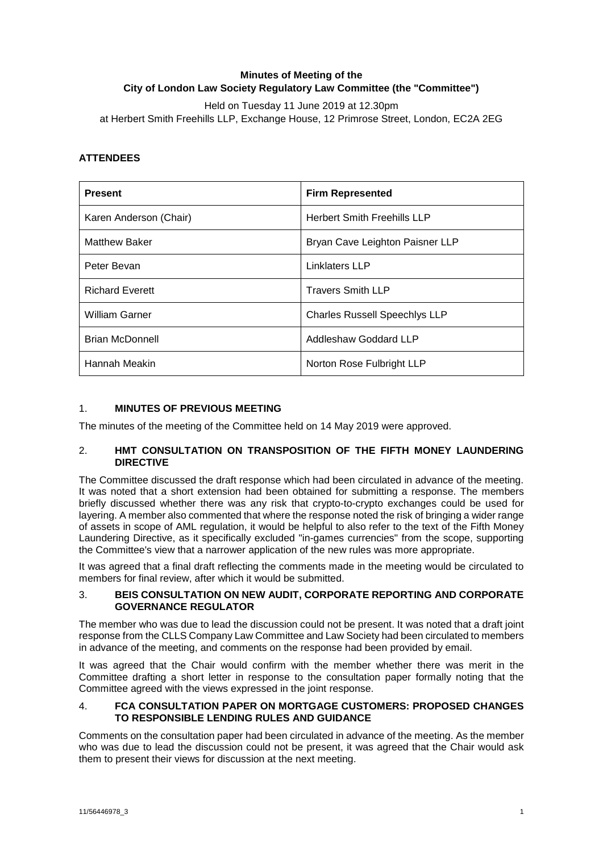# **Minutes of Meeting of the City of London Law Society Regulatory Law Committee (the "Committee")**

Held on Tuesday 11 June 2019 at 12.30pm at Herbert Smith Freehills LLP, Exchange House, 12 Primrose Street, London, EC2A 2EG

## **ATTENDEES**

| <b>Present</b>         | <b>Firm Represented</b>              |
|------------------------|--------------------------------------|
| Karen Anderson (Chair) | <b>Herbert Smith Freehills LLP</b>   |
| <b>Matthew Baker</b>   | Bryan Cave Leighton Paisner LLP      |
| Peter Bevan            | <b>Linklaters LLP</b>                |
| <b>Richard Everett</b> | <b>Travers Smith LLP</b>             |
| <b>William Garner</b>  | <b>Charles Russell Speechlys LLP</b> |
| <b>Brian McDonnell</b> | Addleshaw Goddard LLP                |
| Hannah Meakin          | Norton Rose Fulbright LLP            |

## 1. **MINUTES OF PREVIOUS MEETING**

The minutes of the meeting of the Committee held on 14 May 2019 were approved.

#### 2. **HMT CONSULTATION ON TRANSPOSITION OF THE FIFTH MONEY LAUNDERING DIRECTIVE**

The Committee discussed the draft response which had been circulated in advance of the meeting. It was noted that a short extension had been obtained for submitting a response. The members briefly discussed whether there was any risk that crypto-to-crypto exchanges could be used for layering. A member also commented that where the response noted the risk of bringing a wider range of assets in scope of AML regulation, it would be helpful to also refer to the text of the Fifth Money Laundering Directive, as it specifically excluded "in-games currencies" from the scope, supporting the Committee's view that a narrower application of the new rules was more appropriate.

It was agreed that a final draft reflecting the comments made in the meeting would be circulated to members for final review, after which it would be submitted.

#### 3. **BEIS CONSULTATION ON NEW AUDIT, CORPORATE REPORTING AND CORPORATE GOVERNANCE REGULATOR**

The member who was due to lead the discussion could not be present. It was noted that a draft joint response from the CLLS Company Law Committee and Law Society had been circulated to members in advance of the meeting, and comments on the response had been provided by email.

It was agreed that the Chair would confirm with the member whether there was merit in the Committee drafting a short letter in response to the consultation paper formally noting that the Committee agreed with the views expressed in the joint response.

#### 4. **FCA CONSULTATION PAPER ON MORTGAGE CUSTOMERS: PROPOSED CHANGES TO RESPONSIBLE LENDING RULES AND GUIDANCE**

Comments on the consultation paper had been circulated in advance of the meeting. As the member who was due to lead the discussion could not be present, it was agreed that the Chair would ask them to present their views for discussion at the next meeting.